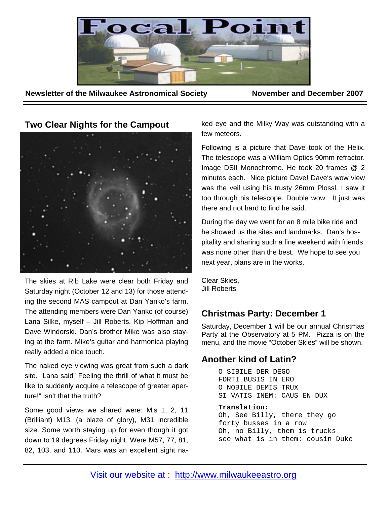

**Newsletter of the Milwaukee Astronomical Society November and December 2007** 

**Two Clear Nights for the Campout** 



The skies at Rib Lake were clear both Friday and Saturday night (October 12 and 13) for those attending the second MAS campout at Dan Yanko's farm. The attending members were Dan Yanko (of course) Lana Silke, myself – Jill Roberts, Kip Hoffman and Dave Windorski. Dan's brother Mike was also staying at the farm. Mike's guitar and harmonica playing really added a nice touch.

The naked eye viewing was great from such a dark site. Lana said" Feeling the thrill of what it must be like to suddenly acquire a telescope of greater aperture!" Isn't that the truth?

Some good views we shared were: M's 1, 2, 11 (Brilliant) M13, (a blaze of glory), M31 incredible size. Some worth staying up for even though it got down to 19 degrees Friday night. Were M57, 77, 81, 82, 103, and 110. Mars was an excellent sight naked eye and the Milky Way was outstanding with a few meteors.

Following is a picture that Dave took of the Helix. The telescope was a William Optics 90mm refractor. Image DSII Monochrome. He took 20 frames @ 2 minutes each. Nice picture Dave! Dave's wow view was the veil using his trusty 26mm Plossl. I saw it too through his telescope. Double wow. It just was there and not hard to find he said.

During the day we went for an 8 mile bike ride and he showed us the sites and landmarks. Dan's hospitality and sharing such a fine weekend with friends was none other than the best. We hope to see you next year, plans are in the works.

Clear Skies, Jill Roberts

# **Christmas Party: December 1**

Saturday, December 1 will be our annual Christmas Party at the Observatory at 5 PM. Pizza is on the menu, and the movie "October Skies" will be shown.

# **Another kind of Latin?**

O SIBILE DER DEGO FORTI BUSIS IN ERO O NOBILE DEMIS TRUX SI VATIS INEM: CAUS EN DUX

### **Translation:**

Oh, See Billy, there they go forty busses in a row Oh, no Billy, them is trucks see what is in them: cousin Duke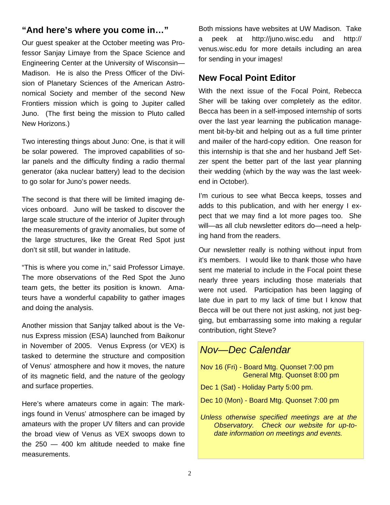## **"And here's where you come in…"**

Our guest speaker at the October meeting was Professor Sanjay Limaye from the Space Science and Engineering Center at the University of Wisconsin— Madison. He is also the Press Officer of the Division of Planetary Sciences of the American Astronomical Society and member of the second New Frontiers mission which is going to Jupiter called Juno. (The first being the mission to Pluto called New Horizons.)

Two interesting things about Juno: One, is that it will be solar powered. The improved capabilities of solar panels and the difficulty finding a radio thermal generator (aka nuclear battery) lead to the decision to go solar for Juno's power needs.

The second is that there will be limited imaging devices onboard. Juno will be tasked to discover the large scale structure of the interior of Jupiter through the measurements of gravity anomalies, but some of the large structures, like the Great Red Spot just don't sit still, but wander in latitude.

"This is where you come in," said Professor Limaye. The more observations of the Red Spot the Juno team gets, the better its position is known. Amateurs have a wonderful capability to gather images and doing the analysis.

Another mission that Sanjay talked about is the Venus Express mission (ESA) launched from Baikonur in November of 2005. Venus Express (or VEX) is tasked to determine the structure and composition of Venus' atmosphere and how it moves, the nature of its magnetic field, and the nature of the geology and surface properties.

Here's where amateurs come in again: The markings found in Venus' atmosphere can be imaged by amateurs with the proper UV filters and can provide the broad view of Venus as VEX swoops down to the 250 — 400 km altitude needed to make fine measurements.

Both missions have websites at UW Madison. Take a peek at http://juno.wisc.edu and http:// venus.wisc.edu for more details including an area for sending in your images!

### **New Focal Point Editor**

With the next issue of the Focal Point, Rebecca Sher will be taking over completely as the editor. Becca has been in a self-imposed internship of sorts over the last year learning the publication management bit-by-bit and helping out as a full time printer and mailer of the hard-copy edition. One reason for this internship is that she and her husband Jeff Setzer spent the better part of the last year planning their wedding (which by the way was the last weekend in October).

I'm curious to see what Becca keeps, tosses and adds to this publication, and with her energy I expect that we may find a lot more pages too. She will—as all club newsletter editors do—need a helping hand from the readers.

Our newsletter really is nothing without input from it's members. I would like to thank those who have sent me material to include in the Focal point these nearly three years including those materials that were not used. Participation has been lagging of late due in part to my lack of time but I know that Becca will be out there not just asking, not just begging, but embarrassing some into making a regular contribution, right Steve?

# *Nov—Dec Calendar*

- Nov 16 (Fri) Board Mtg. Quonset 7:00 pm General Mtg. Quonset 8:00 pm
- Dec 1 (Sat) Holiday Party 5:00 pm.
- Dec 10 (Mon) Board Mtg. Quonset 7:00 pm
- *Unless otherwise specified meetings are at the Observatory. Check our website for up-todate information on meetings and events.*